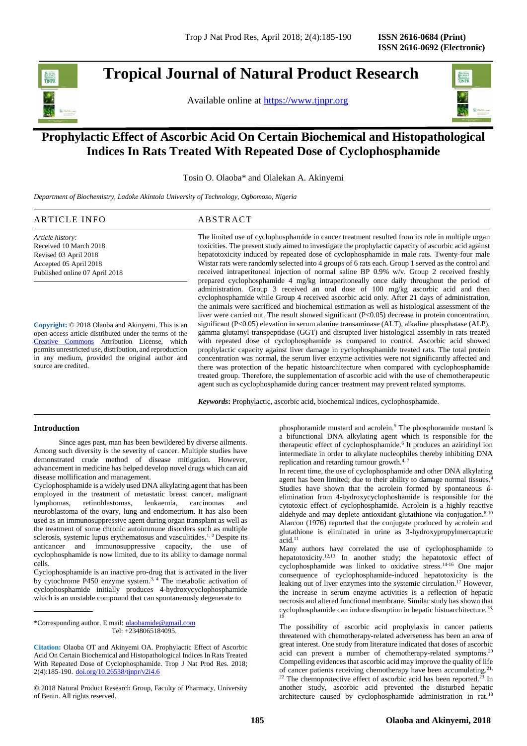

**Tropical Journal of Natural Product Research** 

Available online at [https://www.tjnpr.org](https://www.tjnpr.org/)



# **Prophylactic Effect of Ascorbic Acid On Certain Biochemical and Histopathological Indices In Rats Treated With Repeated Dose of Cyclophosphamide**

Tosin O. Olaoba\* and Olalekan A. Akinyemi

*Department of Biochemistry, Ladoke Akintola University of Technology, Ogbomoso, Nigeria*

| ARTICLE INFO           | ABSTRACT                                                                                              |
|------------------------|-------------------------------------------------------------------------------------------------------|
| Article history:       | The limited use of cyclophosphamide in cancer treatment resulted from its role in multiple organ      |
| Received 10 March 2018 | toxicities. The present study aimed to investigate the prophylactic capacity of ascorbic acid against |
| Revised 03 April 2018  | hepatotoxicity induced by repeated dose of cyclophosphamide in male rats. Twenty-four male            |
| Accepted 05 April 2018 | Wistar rats were randomly selected into 4 groups of 6 rats each. Group 1 served as the control and    |

**Copyright:** © 2018 Olaoba and Akinyemi. This is an open-access article distributed under the terms of the [Creative Commons](https://creativecommons.org/licenses/by/4.0/) Attribution License, which permits unrestricted use, distribution, and reproduction in any medium, provided the original author and source are credited.

Published online 07 April 2018

Wistar rats were randomly selected into 4 groups of 6 rats each. Group 1 served as the control and received intraperitoneal injection of normal saline BP 0.9% w/v. Group 2 received freshly prepared cyclophosphamide 4 mg/kg intraperitoneally once daily throughout the period of administration. Group 3 received an oral dose of 100 mg/kg ascorbic acid and then cyclophosphamide while Group 4 received ascorbic acid only. After 21 days of administration, the animals were sacrificed and biochemical estimation as well as histological assessment of the liver were carried out. The result showed significant (P<0.05) decrease in protein concentration, significant (P<0.05) elevation in serum alanine transaminase (ALT), alkaline phosphatase (ALP), gamma glutamyl transpeptidase (GGT) and disrupted liver histological assembly in rats treated with repeated dose of cyclophosphamide as compared to control. Ascorbic acid showed prophylactic capacity against liver damage in cyclophosphamide treated rats. The total protein concentration was normal, the serum liver enzyme activities were not significantly affected and there was protection of the hepatic histoarchitecture when compared with cyclophosphamide treated group. Therefore, the supplementation of ascorbic acid with the use of chemotherapeutic agent such as cyclophosphamide during cancer treatment may prevent related symptoms.

*Keywords***:** Prophylactic, ascorbic acid, biochemical indices, cyclophosphamide.

# **Introduction**

Since ages past, man has been bewildered by diverse ailments. Among such diversity is the severity of cancer. Multiple studies have demonstrated crude method of disease mitigation. However, advancement in medicine has helped develop novel drugs which can aid disease mollification and management.

Cyclophosphamide is a widely used DNA alkylating agent that has been employed in the treatment of metastatic breast cancer, malignant lymphomas, retinoblastomas, leukaemia, carcinomas and neuroblastoma of the ovary, lung and endometrium. It has also been used as an immunosuppressive agent during organ transplant as well as the treatment of some chronic autoimmune disorders such as multiple sclerosis, systemic lupus erythematosus and vasculitides.<sup>1, 2</sup> Despite its anticancer and immunosuppressive capacity, the use of cyclophosphamide is now limited, due to its ability to damage normal cells.

Cyclophosphamide is an inactive pro-drug that is activated in the liver by cytochrome P450 enzyme system.<sup>3, 4</sup> The metabolic activation of cyclophosphamide initially produces 4-hydroxycyclophosphamide which is an unstable compound that can spontaneously degenerate to

\*Corresponding author. E mail: [olaobamide@gmail.com](mailto:olaobamide@gmail.com)  Tel: +2348065184095.

© 2018 Natural Product Research Group, Faculty of Pharmacy, University of Benin. All rights reserved.

phosphoramide mustard and acrolein.<sup>5</sup> The phosphoramide mustard is a bifunctional DNA alkylating agent which is responsible for the therapeutic effect of cyclophosphamide.<sup>6</sup> It produces an aziridinyl ion intermediate in order to alkylate nucleophiles thereby inhibiting DNA replication and retarding tumour growth. $4,7$ 

In recent time, the use of cyclophosphamide and other DNA alkylating agent has been limited; due to their ability to damage normal tissues.<sup>4</sup> Studies have shown that the acrolein formed by spontaneous *ß*elimination from 4-hydroxycyclophoshamide is responsible for the cytotoxic effect of cyclophosphamide. Acrolein is a highly reactive aldehyde and may deplete antioxidant glutathione via conjugation.<sup>8-10</sup> Alarcon (1976) reported that the conjugate produced by acrolein and glutathione is eliminated in urine as 3-hydroxypropylmercapturic  $\alpha$ id.<sup>11</sup>

Many authors have correlated the use of cyclophosphamide to hepatotoxicity.<sup>12,13</sup> In another study; the hepatotoxic effect of cyclophosphamide was linked to oxidative stress.14-16 One major consequence of cyclophosphamide-induced hepatotoxicity is the leaking out of liver enzymes into the systemic circulation.<sup>17</sup> However, the increase in serum enzyme activities is a reflection of hepatic necrosis and altered functional membrane. Similar study has shown that cyclophosphamide can induce disruption in hepatic histoarchitecture.<sup>18,</sup> 19

The possibility of ascorbic acid prophylaxis in cancer patients threatened with chemotherapy-related adverseness has been an area of great interest. One study from literature indicated that doses of ascorbic acid can prevent a number of chemotherapy-related symptoms.<sup>20</sup> Compelling evidences that ascorbic acid may improve the quality of life of cancer patients receiving chemotherapy have been accumulating.<sup>21,</sup>  $22$  The chemoprotective effect of ascorbic acid has been reported.<sup>23</sup> In another study, ascorbic acid prevented the disturbed hepatic architecture caused by cyclophosphamide administration in rat.<sup>18</sup>

**Citation:** Olaoba OT and Akinyemi OA. Prophylactic Effect of Ascorbic Acid On Certain Biochemical and Histopathological Indices In Rats Treated With Repeated Dose of Cyclophosphamide. Trop J Nat Prod Res. 2018; 2(4):185-190. [doi.org/10.26538/tjnpr/v2i4.6](http://www.doi.org/10.26538/tjnpr/v1i4.5)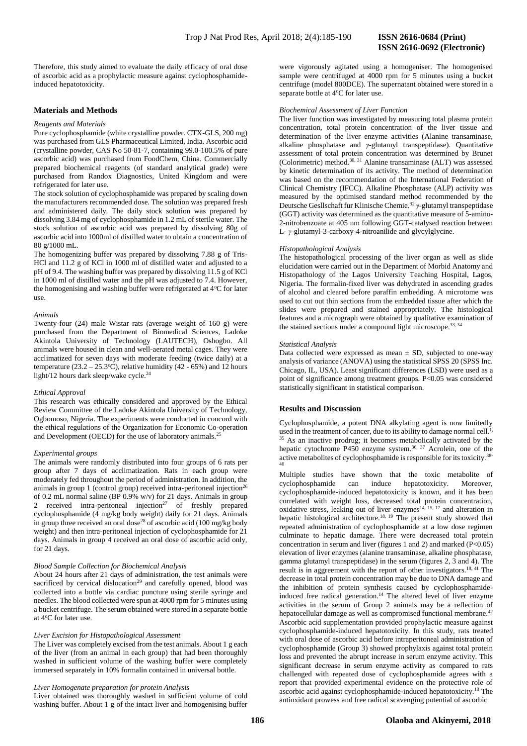# **ISSN 2616-0692 (Electronic)**

Therefore, this study aimed to evaluate the daily efficacy of oral dose of ascorbic acid as a prophylactic measure against cyclophosphamideinduced hepatotoxicity.

# **Materials and Methods**

#### *Reagents and Materials*

Pure cyclophosphamide (white crystalline powder. CTX-GLS, 200 mg) was purchased from GLS Pharmaceutical Limited, India. Ascorbic acid (crystalline powder, CAS No 50-81-7, containing 99.0-100.5% of pure ascorbic acid) was purchased from FoodChem, China. Commercially prepared biochemical reagents (of standard analytical grade) were purchased from Randox Diagnostics, United Kingdom and were refrigerated for later use.

The stock solution of cyclophosphamide was prepared by scaling down the manufacturers recommended dose. The solution was prepared fresh and administered daily. The daily stock solution was prepared by dissolving 3.84 mg of cyclophosphamide in 1.2 mL of sterile water. The stock solution of ascorbic acid was prepared by dissolving 80g of ascorbic acid into 1000ml of distilled water to obtain a concentration of 80 g/1000 mL.

The homogenizing buffer was prepared by dissolving 7.88 g of Tris-HCl and 11.2 g of KCl in 1000 ml of distilled water and adjusted to a pH of 9.4. The washing buffer was prepared by dissolving 11.5 g of KCl in 1000 ml of distilled water and the pH was adjusted to 7.4. However, the homogenising and washing buffer were refrigerated at 4°C for later use.

#### *Animals*

Twenty-four (24) male Wistar rats (average weight of 160 g) were purchased from the Department of Biomedical Sciences, Ladoke Akintola University of Technology (LAUTECH), Oshogbo. All animals were housed in clean and well-aerated metal cages. They were acclimatized for seven days with moderate feeding (twice daily) at a temperature ( $23.2 - 25.3$ °C), relative humidity (42 - 65%) and 12 hours light/12 hours dark sleep/wake cycle.<sup>24</sup>

#### *Ethical Approval*

This research was ethically considered and approved by the Ethical Review Committee of the Ladoke Akintola University of Technology, Ogbomoso, Nigeria. The experiments were conducted in concord with the ethical regulations of the Organization for Economic Co-operation and Development (OECD) for the use of laboratory animals.<sup>25</sup>

#### *Experimental groups*

The animals were randomly distributed into four groups of 6 rats per group after 7 days of acclimatization. Rats in each group were moderately fed throughout the period of administration. In addition, the animals in group 1 (control group) received intra-peritoneal injection<sup>26</sup> of 0.2 mL normal saline (BP 0.9% w/v) for 21 days. Animals in group 2 received intra-peritoneal injection<sup>27</sup> of freshly prepared cyclophosphamide (4 mg/kg body weight) daily for 21 days. Animals in group three received an oral dose<sup>28</sup> of ascorbic acid (100 mg/kg body weight) and then intra-peritoneal injection of cyclophosphamide for 21 days. Animals in group 4 received an oral dose of ascorbic acid only, for 21 days.

### *Blood Sample Collection for Biochemical Analysis*

About 24 hours after 21 days of administration, the test animals were sacrificed by cervical dislocation<sup>29</sup> and carefully opened, blood was collected into a bottle via cardiac puncture using sterile syringe and needles. The blood collected were spun at 4000 rpm for 5 minutes using a bucket centrifuge. The serum obtained were stored in a separate bottle at 4<sup>o</sup>C for later use.

#### *Liver Excision for Histopathological Assessment*

The Liver was completely excised from the test animals. About 1 g each of the liver (from an animal in each group) that had been thoroughly washed in sufficient volume of the washing buffer were completely immersed separately in 10% formalin contained in universal bottle.

#### *Liver Homogenate preparation for protein Analysis*

Liver obtained was thoroughly washed in sufficient volume of cold washing buffer. About 1 g of the intact liver and homogenising buffer

were vigorously agitated using a homogeniser. The homogenised sample were centrifuged at 4000 rpm for 5 minutes using a bucket centrifuge (model 800DCE). The supernatant obtained were stored in a separate bottle at 4°C for later use.

### *Biochemical Assessment of Liver Function*

The liver function was investigated by measuring total plasma protein concentration, total protein concentration of the liver tissue and determination of the liver enzyme activities (Alanine transaminase, alkaline phosphatase and *γ*-glutamyl transpeptidase). Quantitative assessment of total protein concentration was determined by Brunet (Colorimetric) method.<sup>30, 31</sup> Alanine transaminase (ALT) was assessed by kinetic determination of its activity. The method of determination was based on the recommendation of the International Federation of Clinical Chemistry (IFCC). Alkaline Phosphatase (ALP) activity was measured by the optimised standard method recommended by the Deutsche Gesllschaft fur Klinische Chemie.<sup>32</sup> *γ*-glutamyl transpeptidase (GGT) activity was determined as the quantitative measure of 5-amino-2-nitrobenzoate at 405 nm following GGT-catalysed reaction between L- *γ*-glutamyl-3-carboxy-4-nitroanilide and glycylglycine.

# *Histopathological Analysis*

The histopathological processing of the liver organ as well as slide elucidation were carried out in the Department of Morbid Anatomy and Histopathology of the Lagos University Teaching Hospital, Lagos, Nigeria. The formalin-fixed liver was dehydrated in ascending grades of alcohol and cleared before paraffin embedding. A microtome was used to cut out thin sections from the embedded tissue after which the slides were prepared and stained appropriately. The histological features and a micrograph were obtained by qualitative examination of the stained sections under a compound light microscope.<sup>33, 34</sup>

#### *Statistical Analysis*

Data collected were expressed as mean  $\pm$  SD, subjected to one-way analysis of variance (ANOVA) using the statistical SPSS 20 (SPSS Inc. Chicago, IL, USA). Least significant differences (LSD) were used as a point of significance among treatment groups. P<0.05 was considered statistically significant in statistical comparison.

#### **Results and Discussion**

Cyclophosphamide, a potent DNA alkylating agent is now limitedly used in the treatment of cancer, due to its ability to damage normal cell.<sup>1,</sup> <sup>35</sup> As an inactive prodrug; it becomes metabolically activated by the hepatic cytochrome P450 enzyme system.36, 37 Acrolein, one of the active metabolites of cyclophosphamide is responsible for its toxicity.38- 40

Multiple studies have shown that the toxic metabolite of cyclophosphamide can induce hepatotoxicity. Moreover, cyclophosphamide-induced hepatotoxicity is known, and it has been correlated with weight loss, decreased total protein concentration, oxidative stress, leaking out of liver enzymes<sup>14, 15, 17</sup> and alteration in hepatic histological architecture.<sup>18, 19</sup> The present study showed that repeated administration of cyclophosphamide at a low dose regimen culminate to hepatic damage. There were decreased total protein concentration in serum and liver (figures 1 and 2) and marked (P<0.05) elevation of liver enzymes (alanine transaminase, alkaline phosphatase, gamma glutamyl transpeptidase) in the serum (figures 2, 3 and 4). The result is in aggreement with the report of other investigators.<sup>18, 41</sup> The decrease in total protein concentration may be due to DNA damage and the inhibition of protein synthesis caused by cyclophosphamideinduced free radical generation.<sup>14</sup> The altered level of liver enzyme activities in the serum of Group 2 animals may be a reflection of hepatocellular damage as well as compromised functional membrane.<sup>42</sup> Ascorbic acid supplementation provided prophylactic measure against cyclophosphamide-induced hepatotoxicity. In this study, rats treated with oral dose of ascorbic acid before intraperitoneal administration of cyclophosphamide (Group 3) showed prophylaxis against total protein loss and prevented the abrupt increase in serum enzyme activity. This significant decrease in serum enzyme activity as compared to rats challenged with repeated dose of cyclophosphamide agrees with a report that provided experimental evidence on the protective role of ascorbic acid against cyclophosphamide-induced hepatotoxicity.<sup>18</sup> The antioxidant prowess and free radical scavenging potential of ascorbic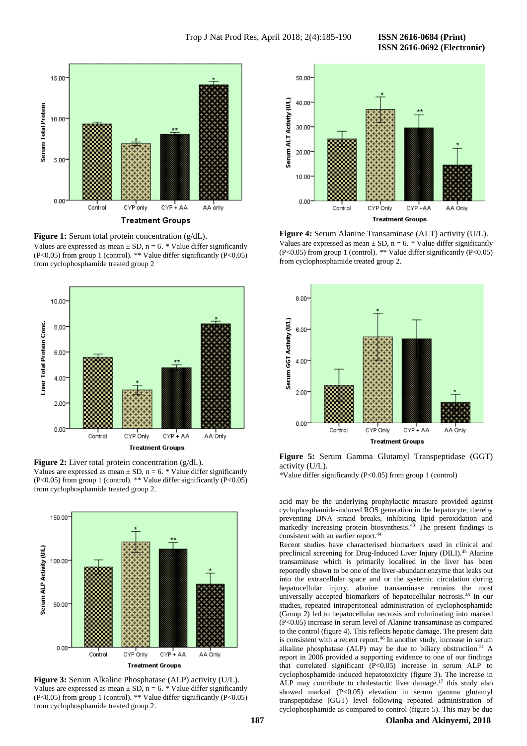**ISSN 2616-0692 (Electronic)** 



**Figure 1:** Serum total protein concentration (g/dL). Values are expressed as mean  $\pm$  SD, n = 6. \* Value differ significantly (P<0.05) from group 1 (control). \*\* Value differ significantly (P<0.05) from cyclophosphamide treated group 2



**Figure 2:** Liver total protein concentration (g/dL). Values are expressed as mean  $\pm$  SD, n = 6. \* Value differ significantly (P<0.05) from group 1 (control). \*\* Value differ significantly (P<0.05) from cyclophosphamide treated group 2.



**Figure 3:** Serum Alkaline Phosphatase (ALP) activity (U/L). Values are expressed as mean  $\pm$  SD, n = 6. \* Value differ significantly (P<0.05) from group 1 (control). \*\* Value differ significantly (P<0.05) from cyclophosphamide treated group 2.



**Figure 4:** Serum Alanine Transaminase (ALT) activity (U/L). Values are expressed as mean  $\pm$  SD, n = 6. \* Value differ significantly (P<0.05) from group 1 (control). \*\* Value differ significantly (P<0.05) from cyclophosphamide treated group 2.



**Figure 5:** Serum Gamma Glutamyl Transpeptidase (GGT) activity (U/L).

\*Value differ significantly (P<0.05) from group 1 (control)

acid may be the underlying prophylactic measure provided against cyclophosphamide-induced ROS generation in the hepatocyte; thereby preventing DNA strand breaks, inhibiting lipid peroxidation and markedly increasing protein biosynthesis.<sup>43</sup> The present findings is consistent with an earlier report.<sup>44</sup>

Recent studies have characterised biomarkers used in clinical and preclinical screening for Drug-Induced Liver Injury (DILI).<sup>45</sup> Alanine transaminase which is primarily localised in the liver has been reportedly shown to be one of the liver-abundant enzyme that leaks out into the extracellular space and or the systemic circulation during hepatocellular injury, alanine transaminase remains the most universally accepted biomarkers of hepatocellular necrosis.<sup>45</sup> In our studies, repeated intraperitoneal administration of cyclophosphamide (Group 2) led to hepatocellular necrosis and culminating into marked (P<0.05) increase in serum level of Alanine transaminase as compared to the control (figure 4). This reflects hepatic damage. The present data is consistent with a recent report.<sup>46</sup> In another study, increase in serum alkaline phosphatase (ALP) may be due to biliary obstruction.<sup>31</sup> A report in 2006 provided a supporting evidence to one of our findings that correlated significant (P<0.05) increase in serum ALP to cyclophosphamide-induced hepatotoxicity (figure 3). The increase in ALP may contribute to cholestactic liver damage.<sup>17</sup> this study also showed marked (P<0.05) elevation in serum gamma glutamyl transpeptidase (GGT) level following repeated administration of cyclophosphamide as compared to control (figure 5). This may be due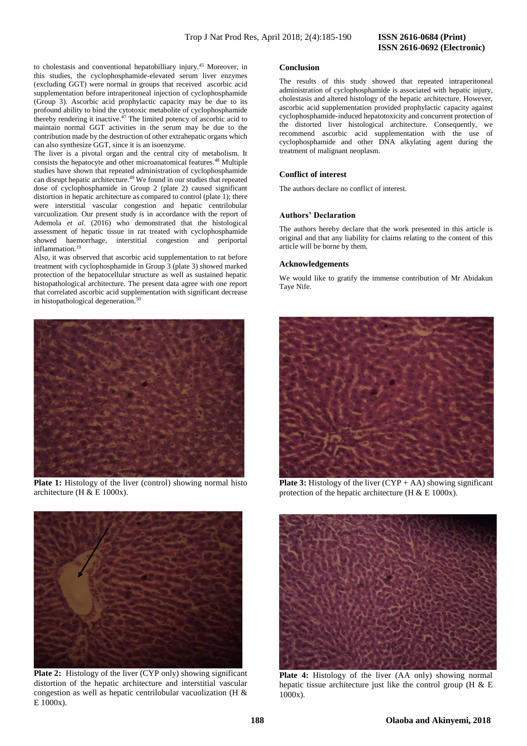# **ISSN 2616-0692 (Electronic)**

to cholestasis and conventional hepatobilliary injury.<sup>45</sup> Moreover, in this studies, the cyclophosphamide-elevated serum liver enzymes (excluding GGT) were normal in groups that received ascorbic acid supplementation before intraperitoneal injection of cyclophosphamide (Group 3). Ascorbic acid prophylactic capacity may be due to its profound ability to bind the cytotoxic metabolite of cyclophosphamide thereby rendering it inactive.<sup>47</sup> The limited potency of ascorbic acid to maintain normal GGT activities in the serum may be due to the contribution made by the destruction of other extrahepatic organs which can also synthesize GGT, since it is an isoenzyme.

The liver is a pivotal organ and the central city of metabolism. It consists the hepatocyte and other microanatomical features. <sup>48</sup> Multiple studies have shown that repeated administration of cyclophosphamide can disrupt hepatic architecture.<sup>49</sup> We found in our studies that repeated dose of cyclophosphamide in Group 2 (plate 2) caused significant distortion in hepatic architecture as compared to control (plate 1); there were interstitial vascular congestion and hepatic centrilobular varcuolization. Our present study is in accordance with the report of Ademola *et al.* (2016) who demonstrated that the histological assessment of hepatic tissue in rat treated with cyclophosphamide showed haemorrhage, interstitial congestion and periportal inflammation.<sup>19</sup>

Also, it was observed that ascorbic acid supplementation to rat before treatment with cyclophosphamide in Group 3 (plate 3) showed marked protection of the hepatocellular structure as well as sustained hepatic histopathological architecture. The present data agree with one report that correlated ascorbic acid supplementation with significant decrease in histopathological degeneration.<sup>50</sup>



**Plate 1:** Histology of the liver (control) showing normal histo architecture (H & E 1000x).



**Plate 2:** Histology of the liver (CYP only) showing significant distortion of the hepatic architecture and interstitial vascular congestion as well as hepatic centrilobular vacuolization (H & E 1000x).

# **Conclusion**

The results of this study showed that repeated intraperitoneal administration of cyclophosphamide is associated with hepatic injury, cholestasis and altered histology of the hepatic architecture. However, ascorbic acid supplementation provided prophylactic capacity against cyclophosphamide-induced hepatotoxicity and concurrent protection of the distorted liver histological architecture. Consequently, we recommend ascorbic acid supplementation with the use of cyclophosphamide and other DNA alkylating agent during the treatment of malignant neoplasm.

### **Conflict of interest**

The authors declare no conflict of interest.

# **Authors' Declaration**

The authors hereby declare that the work presented in this article is original and that any liability for claims relating to the content of this article will be borne by them.

### **Acknowledgements**

We would like to gratify the immense contribution of Mr Abidakun Taye Nife.



**Plate 3:** Histology of the liver  $(CYP + AA)$  showing significant protection of the hepatic architecture (H  $\&$  E 1000x).



**Plate 4:** Histology of the liver (AA only) showing normal hepatic tissue architecture just like the control group (H & E 1000x).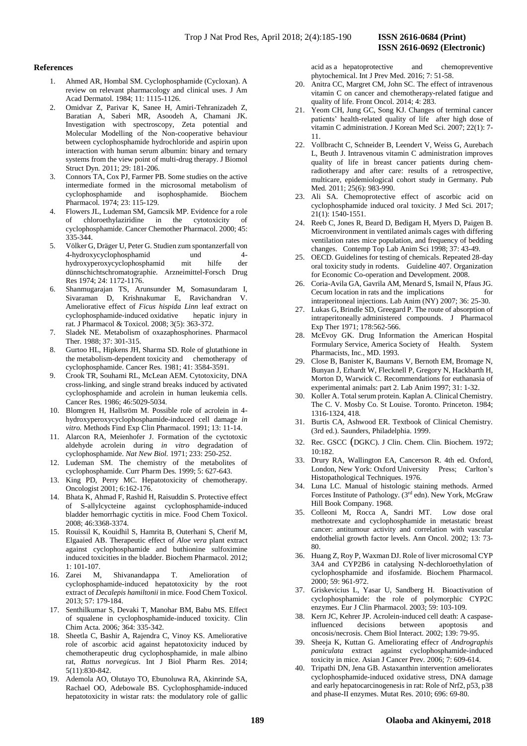# **References**

- 1. Ahmed AR, Hombal SM. Cyclophosphamide (Cycloxan). A review on relevant pharmacology and clinical uses. J Am Acad Dermatol*.* 1984; 11: 1115-1126.
- 2. Omidvar Z, Parivar K, Sanee H, Amiri-Tehranizadeh Z, Baratian A, Saberi MR, Asoodeh A, Chamani JK. Investigation with spectroscopy, Zeta potential and Molecular Modelling of the Non-cooperative behaviour between cyclophosphamide hydrochloride and aspirin upon interaction with human serum albumin: binary and ternary systems from the view point of multi-drug therapy. J Biomol Struct Dyn*.* 2011; 29: 181-206.
- 3. Connors TA, Cox PJ, Farmer PB. Some studies on the active intermediate formed in the microsomal metabolism of cyclophosphamide and isophosphamide. Biochem Pharmacol*.* 1974; 23: 115-129.
- 4. Flowers JL, Ludeman SM, Gamcsik MP*.* Evidence for a role of chloroethylaziridine in the cytotoxicity of cyclophosphamide. Cancer Chemother Pharmacol*.* 2000; 45: 335-344.
- 5. Völker G, Dräger U, Peter G. Studien zum spontanzerfall von 4-hydroxycyclophosphamid und 4 hydroxyperoxycyclophosphamid mit hilfe der dünnschichtschromatographie. Arzneimittel-Forsch Drug Res 1974; 24: 1172-1176.
- 6. Shanmugarajan TS, Arunsunder M, Somasundaram I, Sivaraman D, Krishnakumar E, Ravichandran V. Ameliorative effect of *Ficus hispida Linn* leaf extract on cyclophosphamide-induced oxidative hepatic injury in rat. J Pharmacol & Toxicol*.* 2008; 3(5): 363-372.
- Sladek NE. Metabolism of oxazaphosphorines. Pharmacol Ther*.* 1988; 37: 301-315.
- 8. Gurtoo HL, Hipkens JH, Sharma SD. Role of glutathione in the metabolism-dependent toxicity and chemotherapy of cyclophosphamide. Cancer Res*.* 1981; 41: 3584-3591.
- 9. Crook TR, Souhami RL, McLean AEM. Cytotoxicity, DNA cross-linking, and single strand breaks induced by activated cyclophosphamide and acrolein in human leukemia cells. Cancer Res*.* 1986; 46:5029-5034.
- 10. Blomgren H, Hallsröm M. Possible role of acrolein in 4 hydroxyperoxycyclophosphamide-induced cell damage *in vitro.* Methods Find Exp Clin Pharmacol*.* 1991; 13: 11-14.
- 11. Alarcon RA, Meienhofer J. Formation of the cyctotoxic aldehyde acrolein during *in vitro* degradation of cyclophosphamide. *Nat New Biol.* 1971; 233: 250-252.
- 12. Ludeman SM. The chemistry of the metabolites of cyclophosphamide. Curr Pharm Des*.* 1999; 5: 627-643.
- 13. King PD, Perry MC. Hepatotoxicity of chemotherapy. Oncologist 2001; 6:162-176.
- 14. Bhata K, Ahmad F, Rashid H, Raisuddin S. Protective effect of S-allylcycteine against cyclophosphamide-induced bladder hemorrhagic cyctitis in mice. Food Chem Toxicol. 2008; 46:3368-3374.
- 15. Rouissil K, Kouidhil S, Hamrita B, Outerhani S, Cherif M, Elgaaied AB. Therapeutic effect of *Aloe vera* plant extract against cyclophosphamide and buthionine sulfoximine induced toxicities in the bladder. Biochem Pharmacol. 2012; 1: 101-107.
- 16. Zarei M, Shivanandappa T. Amelioration of cyclophosphamide-induced hepatotoxicity by the root extract of *Decalepis hamiltonii* in mice. Food Chem Toxicol*.*  2013; 57: 179-184.
- 17. Senthilkumar S, Devaki T, Manohar BM, Babu MS. Effect of squalene in cyclophosphamide-induced toxicity. Clin Chim Acta*.* 2006*;* 364: 335-342.
- 18. Sheetla C, Bashir A, Rajendra C, Vinoy KS. Ameliorative role of ascorbic acid against hepatotoxicity induced by chemotherapeutic drug cyclophosphamide, in male albino rat, *Rattus norvegicus*. Int J Biol Pharm Res*.* 2014; 5(11):830-842.
- 19. Ademola AO, Olutayo TO, Ebunoluwa RA, Akinrinde SA, Rachael OO, Adebowale BS. Cyclophosphamide-induced hepatotoxicity in wistar rats: the modulatory role of gallic

acid as a hepatoprotective and chemopreventive phytochemical. Int J Prev Med. 2016; 7: 51-58.

- 20. Anitra CC, Margret CM, John SC. The effect of intravenous vitamin C on cancer and chemotherapy-related fatigue and quality of life. Front Oncol*.* 2014; 4: 283.
- 21. Yeom CH, Jung GC, Song KJ. Changes of terminal cancer patients' health-related quality of life after high dose of vitamin C administration. J Korean Med Sci. 2007; 22(1): 7- 11.
- 22. Vollbracht C, Schneider B, Leendert V, Weiss G, Aurebach L, Beuth J. Intravenous vitamin C administration improves quality of life in breast cancer patients during chemradiotherapy and after care: results of a retrospective, multicare, epidemiological cohort study in Germany. Pub Med*.* 2011; 25(6): 983-990.
- 23. Ali SA. Chemoprotective effect of ascorbic acid on cyclophosphamide induced oral toxicity. J Med Sci*.* 2017; 21(1): 1540-1551.
- 24. Reeb C, Jones R, Beard D, Bedigam H, Myers D, Paigen B. Microenvironment in ventilated animals cages with differing ventilation rates mice population, and frequency of bedding changes. Contemp Top Lab Anim Sci 1998; 37: 43-49.
- 25. OECD. Guidelines for testing of chemicals. Repeated 28-day oral toxicity study in rodents. Guideline 407. Organization for Economic Co-operation and Development. 2008.
- 26. Coria-Avila GA, Gavrila AM, Menard S, Ismail N, Pfaus JG. Cecum location in rats and the implications for intraperitoneal injections. Lab Anim (NY) 2007; 36: 25-30.
- 27. Lukas G, Brindle SD, Greegard P. The route of absorption of intraperitoneally administered compounds. J Pharmacol Exp Ther 1971; 178:562-566.
- 28. McEvoy GK. Drug Information the American Hospital Formulary Service, America Society of Health. System Pharmacists, Inc., MD. 1993.
- 29. Close B, Banister K, Baumans V, Bernoth EM, Bromage N, Bunyan J, Erhardt W, Flecknell P, Gregory N, Hackbarth H, Morton D, Warwick C. Recommendations for euthanasia of experimental animals: part 2. Lab Anim 1997; 31: 1-32.
- 30. Koller A. Total serum protein. Kaplan A. Clinical Chemistry. The C. V. Mosby Co. St Louise. Toronto. Princeton. 1984; 1316-1324, 418.
- 31. Burtis CA, Ashwood ER. Textbook of Clinical Chemistry. (3rd ed.). Saunders, Philadelphia. 1999.
- 32. Rec. GSCC (DGKC). J Clin. Chem. Clin. Biochem*.* 1972; 10:182.
- 33. Drury RA, Wallington EA, Cancerson R. 4th ed. Oxford, London, New York: Oxford University Press; Carlton's Histopathological Techniques. 1976.
- 34. Luna LC. Manual of histologic staining methods. Armed Forces Institute of Pathology. (3rd edn). New York, McGraw Hill Book Company. 1968.
- 35. Colleoni M, Rocca A, Sandri MT. Low dose oral methotrexate and cyclophosphamide in metastatic breast cancer: antitumour activity and correlation with vascular endothelial growth factor levels. Ann Oncol. 2002; 13: 73- 80.
- 36. Huang Z, Roy P, Waxman DJ. Role of liver microsomal CYP 3A4 and CYP2B6 in catalysing N-dechloroethylation of cyclophosphamide and ifosfamide. Biochem Pharmacol. 2000; 59: 961-972.
- 37. Griskevicius L, Yasar U, Sandberg H. Bioactivation of cyclophosphamide: the role of polymorphic CYP2C enzymes. Eur J Clin Pharmacol*.* 2003; 59: 103-109.
- 38. Kern JC, Kehrer JP. Acrolein-induced cell death: A caspaseinfluenced decisions between apoptosis and oncosis/necrosis. Chem Biol Interact*.* 2002; 139: 79-95.
- 39. Sheeja K, Kuttan G. Ameliorating effecr of *Andrographis paniculata* extract against cyclophosphamide-induced toxicity in mice. Asian J Cancer Prev*.* 2006; 7: 609-614.
- 40. Tripathi DN, Jena GB. Astaxanthin intervention ameliorates cyclophosphamide-induced oxidative stress, DNA damage and early hepatocarcinogenesis in rat: Role of Nrf2, p53, p38 and phase-II enzymes. Mutat Res*.* 2010; 696: 69-80.